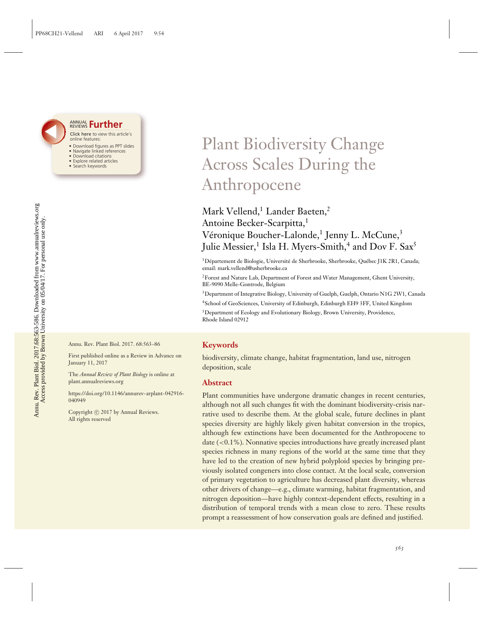Click here to view this article's online features: • Download figures as PPT slides

ANNUAL REVIEWS **[Further](http://www.annualreviews.org/doi/full/10.1146/annurev-arplant-042916-040949)**

- Navigate linked references
- Download citations
- Explore related articles
- Search keywords

# Plant Biodiversity Change Across Scales During the Anthropocene

# Mark Vellend,<sup>1</sup> Lander Baeten,<sup>2</sup> Antoine Becker-Scarpitta,<sup>1</sup> Véronique Boucher-Lalonde,<sup>1</sup> Jenny L. McCune,<sup>3</sup> Julie Messier,<sup>1</sup> Isla H. Myers-Smith,<sup>4</sup> and Dov F. Sax<sup>5</sup>

<sup>1</sup>Département de Biologie, Université de Sherbrooke, Sherbrooke, Québec J1K 2R1, Canada; email: mark.vellend@usherbrooke.ca

2Forest and Nature Lab, Department of Forest and Water Management, Ghent University, BE-9090 Melle-Gontrode, Belgium

3Department of Integrative Biology, University of Guelph, Guelph, Ontario N1G 2W1, Canada 4School of GeoSciences, University of Edinburgh, Edinburgh EH9 3FF, United Kingdom

5Department of Ecology and Evolutionary Biology, Brown University, Providence, Rhode Island 02912

Annu. Rev. Plant Biol. 2017. 68:563–86

First published online as a Review in Advance on January 11, 2017

The *Annual Review of Plant Biology* is online at plant.annualreviews.org

[https://doi.org/10.1146/annurev-arplant-042916-](https://doi.org/10.1146/annurev-arplant-042916-040949) [040949](https://doi.org/10.1146/annurev-arplant-042916-040949)

Copyright © 2017 by Annual Reviews. All rights reserved

# **Keywords**

biodiversity, climate change, habitat fragmentation, land use, nitrogen deposition, scale

# **Abstract**

Plant communities have undergone dramatic changes in recent centuries, although not all such changes fit with the dominant biodiversity-crisis narrative used to describe them. At the global scale, future declines in plant species diversity are highly likely given habitat conversion in the tropics, although few extinctions have been documented for the Anthropocene to date (*<*0.1%). Nonnative species introductions have greatly increased plant species richness in many regions of the world at the same time that they have led to the creation of new hybrid polyploid species by bringing previously isolated congeners into close contact. At the local scale, conversion of primary vegetation to agriculture has decreased plant diversity, whereas other drivers of change—e.g., climate warming, habitat fragmentation, and nitrogen deposition—have highly context-dependent effects, resulting in a distribution of temporal trends with a mean close to zero. These results prompt a reassessment of how conservation goals are defined and justified.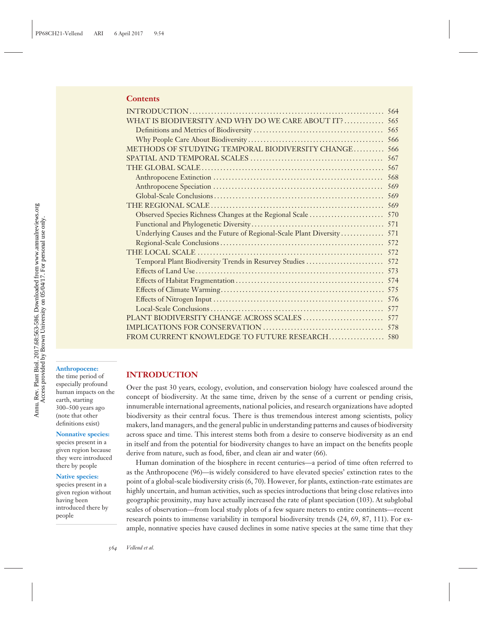# **Contents**

| HAT IS BIODIVERSITY AND WHY DO WE CARE ABOUT IT? 565                   |  |  |
|------------------------------------------------------------------------|--|--|
|                                                                        |  |  |
|                                                                        |  |  |
| METHODS OF STUDYING TEMPORAL BIODIVERSITY CHANGE 566                   |  |  |
|                                                                        |  |  |
|                                                                        |  |  |
|                                                                        |  |  |
|                                                                        |  |  |
|                                                                        |  |  |
|                                                                        |  |  |
|                                                                        |  |  |
|                                                                        |  |  |
| Underlying Causes and the Future of Regional-Scale Plant Diversity 571 |  |  |
|                                                                        |  |  |
|                                                                        |  |  |
|                                                                        |  |  |
|                                                                        |  |  |
|                                                                        |  |  |
|                                                                        |  |  |
|                                                                        |  |  |
|                                                                        |  |  |
|                                                                        |  |  |
|                                                                        |  |  |
| FROM CURRENT KNOWLEDGE TO FUTURE RESEARCH 580                          |  |  |

#### **Anthropocene:**

the time period of especially profound human impacts on the earth, starting 300–500 years ago (note that other definitions exist)

# **Nonnative species:**

species present in a given region because they were introduced there by people

#### **Native species:**

species present in a given region without having been introduced there by people

# **INTRODUCTION**

Over the past 30 years, ecology, evolution, and conservation biology have coalesced around the concept of biodiversity. At the same time, driven by the sense of a current or pending crisis, innumerable international agreements, national policies, and research organizations have adopted biodiversity as their central focus. There is thus tremendous interest among scientists, policy makers, land managers, and the general public in understanding patterns and causes of biodiversity across space and time. This interest stems both from a desire to conserve biodiversity as an end in itself and from the potential for biodiversity changes to have an impact on the benefits people derive from nature, such as food, fiber, and clean air and water (66).

Human domination of the biosphere in recent centuries—a period of time often referred to as the Anthropocene (96)—is widely considered to have elevated species' extinction rates to the point of a global-scale biodiversity crisis (6, 70). However, for plants, extinction-rate estimates are highly uncertain, and human activities, such as species introductions that bring close relatives into geographic proximity, may have actually increased the rate of plant speciation (103). At subglobal scales of observation—from local study plots of a few square meters to entire continents—recent research points to immense variability in temporal biodiversity trends (24, 69, 87, 111). For example, nonnative species have caused declines in some native species at the same time that they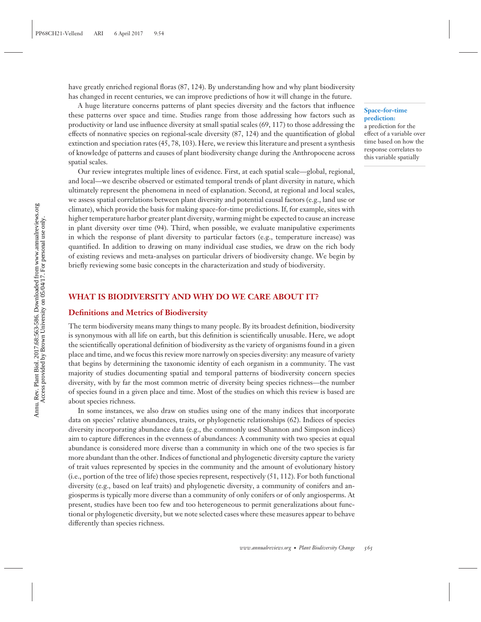have greatly enriched regional floras (87, 124). By understanding how and why plant biodiversity has changed in recent centuries, we can improve predictions of how it will change in the future.

A huge literature concerns patterns of plant species diversity and the factors that influence these patterns over space and time. Studies range from those addressing how factors such as productivity or land use influence diversity at small spatial scales (69, 117) to those addressing the effects of nonnative species on regional-scale diversity (87, 124) and the quantification of global extinction and speciation rates (45, 78, 103). Here, we review this literature and present a synthesis of knowledge of patterns and causes of plant biodiversity change during the Anthropocene across spatial scales.

Our review integrates multiple lines of evidence. First, at each spatial scale—global, regional, and local—we describe observed or estimated temporal trends of plant diversity in nature, which ultimately represent the phenomena in need of explanation. Second, at regional and local scales, we assess spatial correlations between plant diversity and potential causal factors (e.g., land use or climate), which provide the basis for making space-for-time predictions. If, for example, sites with higher temperature harbor greater plant diversity, warming might be expected to cause an increase in plant diversity over time (94). Third, when possible, we evaluate manipulative experiments in which the response of plant diversity to particular factors (e.g., temperature increase) was quantified. In addition to drawing on many individual case studies, we draw on the rich body of existing reviews and meta-analyses on particular drivers of biodiversity change. We begin by briefly reviewing some basic concepts in the characterization and study of biodiversity.

# **WHAT IS BIODIVERSITY AND WHY DO WE CARE ABOUT IT?**

# **Definitions and Metrics of Biodiversity**

The term biodiversity means many things to many people. By its broadest definition, biodiversity is synonymous with all life on earth, but this definition is scientifically unusable. Here, we adopt the scientifically operational definition of biodiversity as the variety of organisms found in a given place and time, and we focus this review more narrowly on species diversity: any measure of variety that begins by determining the taxonomic identity of each organism in a community. The vast majority of studies documenting spatial and temporal patterns of biodiversity concern species diversity, with by far the most common metric of diversity being species richness—the number of species found in a given place and time. Most of the studies on which this review is based are about species richness.

In some instances, we also draw on studies using one of the many indices that incorporate data on species' relative abundances, traits, or phylogenetic relationships (62). Indices of species diversity incorporating abundance data (e.g., the commonly used Shannon and Simpson indices) aim to capture differences in the evenness of abundances: A community with two species at equal abundance is considered more diverse than a community in which one of the two species is far more abundant than the other. Indices of functional and phylogenetic diversity capture the variety of trait values represented by species in the community and the amount of evolutionary history (i.e., portion of the tree of life) those species represent, respectively (51, 112). For both functional diversity (e.g., based on leaf traits) and phylogenetic diversity, a community of conifers and angiosperms is typically more diverse than a community of only conifers or of only angiosperms. At present, studies have been too few and too heterogeneous to permit generalizations about functional or phylogenetic diversity, but we note selected cases where these measures appear to behave differently than species richness.

# **Space-for-time prediction:**

a prediction for the effect of a variable over time based on how the response correlates to this variable spatially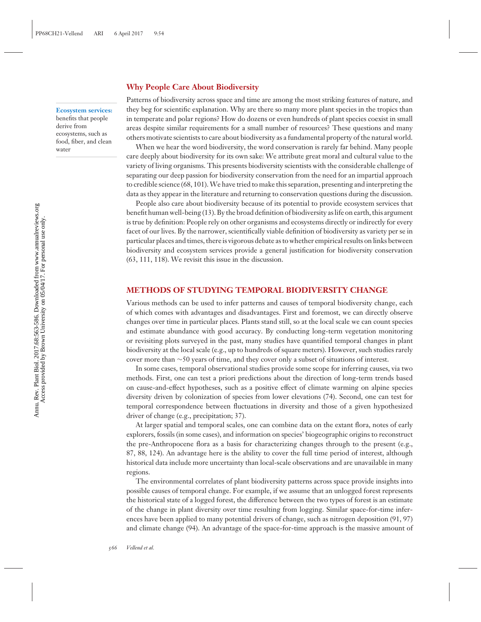# **Why People Care About Biodiversity**

### **Ecosystem services:** benefits that people derive from ecosystems, such as food, fiber, and clean water

Patterns of biodiversity across space and time are among the most striking features of nature, and they beg for scientific explanation. Why are there so many more plant species in the tropics than in temperate and polar regions? How do dozens or even hundreds of plant species coexist in small areas despite similar requirements for a small number of resources? These questions and many others motivate scientists to care about biodiversity as a fundamental property of the natural world.

When we hear the word biodiversity, the word conservation is rarely far behind. Many people care deeply about biodiversity for its own sake: We attribute great moral and cultural value to the variety of living organisms. This presents biodiversity scientists with the considerable challenge of separating our deep passion for biodiversity conservation from the need for an impartial approach to credible science (68, 101).We have tried to make this separation, presenting and interpreting the data as they appear in the literature and returning to conservation questions during the discussion.

People also care about biodiversity because of its potential to provide ecosystem services that benefit human well-being (13). By the broad definition of biodiversity as life on earth, this argument is true by definition: People rely on other organisms and ecosystems directly or indirectly for every facet of our lives. By the narrower, scientifically viable definition of biodiversity as variety per se in particular places and times, there is vigorous debate as to whether empirical results on links between biodiversity and ecosystem services provide a general justification for biodiversity conservation (63, 111, 118). We revisit this issue in the discussion.

# **METHODS OF STUDYING TEMPORAL BIODIVERSITY CHANGE**

Various methods can be used to infer patterns and causes of temporal biodiversity change, each of which comes with advantages and disadvantages. First and foremost, we can directly observe changes over time in particular places. Plants stand still, so at the local scale we can count species and estimate abundance with good accuracy. By conducting long-term vegetation monitoring or revisiting plots surveyed in the past, many studies have quantified temporal changes in plant biodiversity at the local scale (e.g., up to hundreds of square meters). However, such studies rarely cover more than ∼50 years of time, and they cover only a subset of situations of interest.

In some cases, temporal observational studies provide some scope for inferring causes, via two methods. First, one can test a priori predictions about the direction of long-term trends based on cause-and-effect hypotheses, such as a positive effect of climate warming on alpine species diversity driven by colonization of species from lower elevations (74). Second, one can test for temporal correspondence between fluctuations in diversity and those of a given hypothesized driver of change (e.g., precipitation; 37).

At larger spatial and temporal scales, one can combine data on the extant flora, notes of early explorers, fossils (in some cases), and information on species' biogeographic origins to reconstruct the pre-Anthropocene flora as a basis for characterizing changes through to the present (e.g., 87, 88, 124). An advantage here is the ability to cover the full time period of interest, although historical data include more uncertainty than local-scale observations and are unavailable in many regions.

The environmental correlates of plant biodiversity patterns across space provide insights into possible causes of temporal change. For example, if we assume that an unlogged forest represents the historical state of a logged forest, the difference between the two types of forest is an estimate of the change in plant diversity over time resulting from logging. Similar space-for-time inferences have been applied to many potential drivers of change, such as nitrogen deposition (91, 97) and climate change (94). An advantage of the space-for-time approach is the massive amount of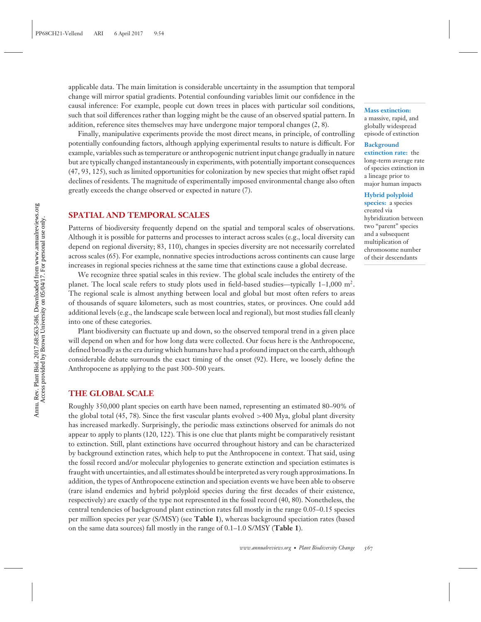applicable data. The main limitation is considerable uncertainty in the assumption that temporal change will mirror spatial gradients. Potential confounding variables limit our confidence in the causal inference: For example, people cut down trees in places with particular soil conditions, such that soil differences rather than logging might be the cause of an observed spatial pattern. In addition, reference sites themselves may have undergone major temporal changes (2, 8).

Finally, manipulative experiments provide the most direct means, in principle, of controlling potentially confounding factors, although applying experimental results to nature is difficult. For example, variables such as temperature or anthropogenic nutrient input change gradually in nature but are typically changed instantaneously in experiments, with potentially important consequences (47, 93, 125), such as limited opportunities for colonization by new species that might offset rapid declines of residents. The magnitude of experimentally imposed environmental change also often greatly exceeds the change observed or expected in nature (7).

# **SPATIAL AND TEMPORAL SCALES**

Patterns of biodiversity frequently depend on the spatial and temporal scales of observations. Although it is possible for patterns and processes to interact across scales (e.g., local diversity can depend on regional diversity; 83, 110), changes in species diversity are not necessarily correlated across scales (65). For example, nonnative species introductions across continents can cause large increases in regional species richness at the same time that extinctions cause a global decrease.

We recognize three spatial scales in this review. The global scale includes the entirety of the planet. The local scale refers to study plots used in field-based studies—typically 1–1,000 m<sup>2</sup>. The regional scale is almost anything between local and global but most often refers to areas of thousands of square kilometers, such as most countries, states, or provinces. One could add additional levels (e.g., the landscape scale between local and regional), but most studies fall cleanly into one of these categories.

Plant biodiversity can fluctuate up and down, so the observed temporal trend in a given place will depend on when and for how long data were collected. Our focus here is the Anthropocene, defined broadly as the era during which humans have had a profound impact on the earth, although considerable debate surrounds the exact timing of the onset (92). Here, we loosely define the Anthropocene as applying to the past 300–500 years.

# **THE GLOBAL SCALE**

Roughly 350,000 plant species on earth have been named, representing an estimated 80–90% of the global total (45, 78). Since the first vascular plants evolved *>*400 Mya, global plant diversity has increased markedly. Surprisingly, the periodic mass extinctions observed for animals do not appear to apply to plants (120, 122). This is one clue that plants might be comparatively resistant to extinction. Still, plant extinctions have occurred throughout history and can be characterized by background extinction rates, which help to put the Anthropocene in context. That said, using the fossil record and/or molecular phylogenies to generate extinction and speciation estimates is fraught with uncertainties, and all estimates should be interpreted as very rough approximations. In addition, the types of Anthropocene extinction and speciation events we have been able to observe (rare island endemics and hybrid polyploid species during the first decades of their existence, respectively) are exactly of the type not represented in the fossil record (40, 80). Nonetheless, the central tendencies of background plant extinction rates fall mostly in the range 0.05–0.15 species per million species per year (S/MSY) (see **Table 1**), whereas background speciation rates (based on the same data sources) fall mostly in the range of 0.1–1.0 S/MSY (**Table 1**).

**Mass extinction:** a massive, rapid, and globally widespread episode of extinction

#### **Background**

**extinction rate:** the long-term average rate of species extinction in a lineage prior to major human impacts

#### **Hybrid polyploid**

**species:** a species created via hybridization between two "parent" species and a subsequent multiplication of chromosome number of their descendants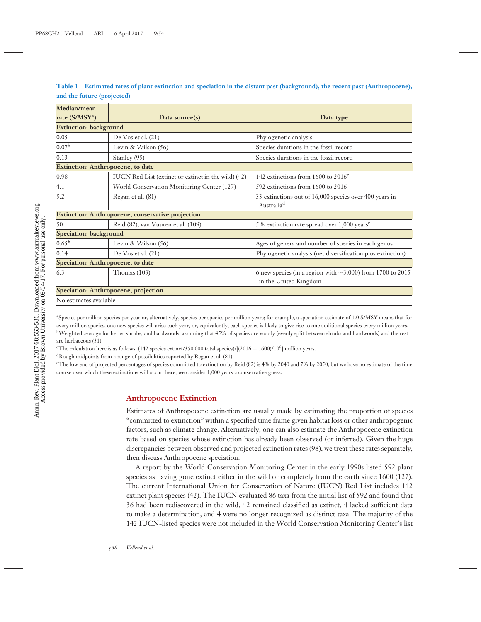# **Table 1 Estimated rates of plant extinction and speciation in the distant past (background), the recent past (Anthropocene), and the future (projected)**

| Median/mean                              |                                                          |                                                                                          |
|------------------------------------------|----------------------------------------------------------|------------------------------------------------------------------------------------------|
| rate (S/MSY <sup>a</sup> )               | Data source(s)                                           | Data type                                                                                |
| <b>Extinction: background</b>            |                                                          |                                                                                          |
| 0.05                                     | De $V$ os et al. $(21)$                                  | Phylogenetic analysis                                                                    |
| 0.07 <sup>b</sup>                        | Levin & Wilson $(56)$                                    | Species durations in the fossil record                                                   |
| 0.13                                     | Stanley (95)                                             | Species durations in the fossil record                                                   |
| <b>Extinction: Anthropocene, to date</b> |                                                          |                                                                                          |
| 0.98                                     | IUCN Red List (extinct or extinct in the wild) (42)      | 142 extinctions from 1600 to 2016 $\textdegree$                                          |
| 4.1                                      | World Conservation Monitoring Center (127)               | 592 extinctions from 1600 to 2016                                                        |
| 5.2                                      | Regan et al. (81)                                        | 33 extinctions out of 16,000 species over 400 years in<br>Australia <sup>d</sup>         |
|                                          | <b>Extinction: Anthropocene, conservative projection</b> |                                                                                          |
| 50                                       | Reid (82), van Vuuren et al. (109)                       | 5% extinction rate spread over 1,000 years <sup>e</sup>                                  |
| <b>Speciation: background</b>            |                                                          |                                                                                          |
| 0.65 <sup>b</sup>                        | Levin & Wilson $(56)$                                    | Ages of genera and number of species in each genus                                       |
| 0.14                                     | De $V$ os et al. $(21)$                                  | Phylogenetic analysis (net diversification plus extinction)                              |
| Speciation: Anthropocene, to date        |                                                          |                                                                                          |
| 6.3                                      | Thomas $(103)$                                           | 6 new species (in a region with $\sim$ 3,000) from 1700 to 2015<br>in the United Kingdom |
|                                          | Speciation: Anthropocene, projection                     |                                                                                          |
| No estimates available                   |                                                          |                                                                                          |

aSpecies per million species per year or, alternatively, species per species per million years; for example, a speciation estimate of 1.0 S/MSY means that for every million species, one new species will arise each year, or, equivalently, each species is likely to give rise to one additional species every million years. bWeighted average for herbs, shrubs, and hardwoods, assuming that 45% of species are woody (evenly split between shrubs and hardwoods) and the rest are herbaceous (31).

<sup>c</sup>The calculation here is as follows: (142 species extinct/350,000 total species)/[(2016 – 1600)/10<sup>6</sup>] million years.

 $d$ Rough midpoints from a range of possibilities reported by Regan et al. (81).

eThe low end of projected percentages of species committed to extinction by Reid (82) is 4% by 2040 and 7% by 2050, but we have no estimate of the time course over which these extinctions will occur; here, we consider 1,000 years a conservative guess.

# **Anthropocene Extinction**

Estimates of Anthropocene extinction are usually made by estimating the proportion of species "committed to extinction" within a specified time frame given habitat loss or other anthropogenic factors, such as climate change. Alternatively, one can also estimate the Anthropocene extinction rate based on species whose extinction has already been observed (or inferred). Given the huge discrepancies between observed and projected extinction rates (98), we treat these rates separately, then discuss Anthropocene speciation.

A report by the World Conservation Monitoring Center in the early 1990s listed 592 plant species as having gone extinct either in the wild or completely from the earth since 1600 (127). The current International Union for Conservation of Nature (IUCN) Red List includes 142 extinct plant species (42). The IUCN evaluated 86 taxa from the initial list of 592 and found that 36 had been rediscovered in the wild, 42 remained classified as extinct, 4 lacked sufficient data to make a determination, and 4 were no longer recognized as distinct taxa. The majority of the 142 IUCN-listed species were not included in the World Conservation Monitoring Center's list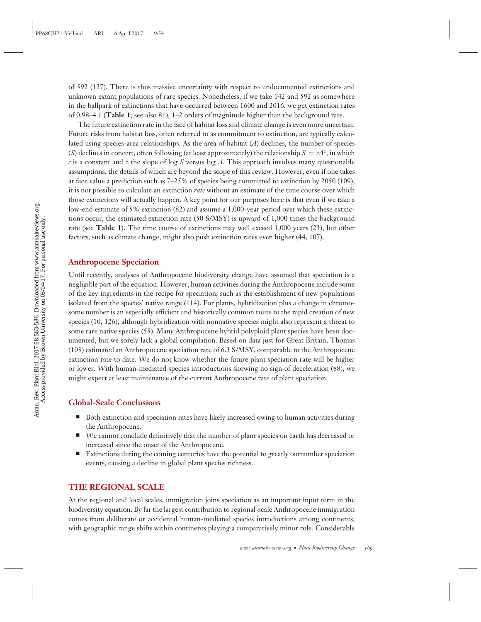of 592 (127). There is thus massive uncertainty with respect to undocumented extinctions and unknown extant populations of rare species. Nonetheless, if we take 142 and 592 as somewhere in the ballpark of extinctions that have occurred between 1600 and 2016, we get extinction rates of 0.98–4.1 (**Table 1**; see also 81), 1–2 orders of magnitude higher than the background rate.

The future extinction rate in the face of habitat loss and climate change is even more uncertain. Future risks from habitat loss, often referred to as commitment to extinction, are typically calculated using species-area relationships. As the area of habitat (*A*) declines, the number of species (*S*) declines in concert, often following (at least approximately) the relationship  $S = cA^2$ , in which *c* is a constant and *z* the slope of log *S* versus log *A*. This approach involves many questionable assumptions, the details of which are beyond the scope of this review. However, even if one takes at face value a prediction such as 7–25% of species being committed to extinction by 2050 (109), it is not possible to calculate an extinction *rate* without an estimate of the time course over which those extinctions will actually happen. A key point for our purposes here is that even if we take a low-end estimate of 5% extinction (82) and assume a 1,000-year period over which these extinctions occur, the estimated extinction rate (50 S/MSY) is upward of 1,000 times the background rate (see **Table 1**). The time course of extinctions may well exceed 1,000 years (23), but other factors, such as climate change, might also push extinction rates even higher (44, 107).

# **Anthropocene Speciation**

Until recently, analyses of Anthropocene biodiversity change have assumed that speciation is a negligible part of the equation. However, human activities during the Anthropocene include some of the key ingredients in the recipe for speciation, such as the establishment of new populations isolated from the species' native range (114). For plants, hybridization plus a change in chromosome number is an especially efficient and historically common route to the rapid creation of new species (10, 126), although hybridization with nonnative species might also represent a threat to some rare native species (55). Many Anthropocene hybrid polyploid plant species have been documented, but we sorely lack a global compilation. Based on data just for Great Britain, Thomas (103) estimated an Anthropocene speciation rate of 6.3 S/MSY, comparable to the Anthropocene extinction rate to date. We do not know whether the future plant speciation rate will be higher or lower. With human-mediated species introductions showing no sign of deceleration (88), we might expect at least maintenance of the current Anthropocene rate of plant speciation.

# **Global-Scale Conclusions**

- - Both extinction and speciation rates have likely increased owing to human activities during the Anthropocene.
- - We cannot conclude definitively that the number of plant species on earth has decreased or increased since the onset of the Anthropocene.
- - Extinctions during the coming centuries have the potential to greatly outnumber speciation events, causing a decline in global plant species richness.

# **THE REGIONAL SCALE**

At the regional and local scales, immigration joins speciation as an important input term in the biodiversity equation. By far the largest contribution to regional-scale Anthropocene immigration comes from deliberate or accidental human-mediated species introductions among continents, with geographic range shifts within continents playing a comparatively minor role. Considerable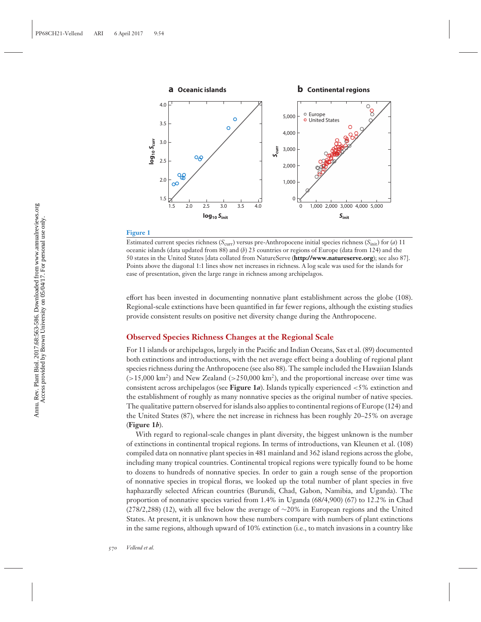

Estimated current species richness (*S*curr) versus pre-Anthropocene initial species richness (*S*init) for (*a*) 11 oceanic islands (data updated from 88) and (*b*) 23 countries or regions of Europe (data from 124) and the 50 states in the United States [data collated from NatureServe (**<http://www.natureserve.org>**); see also 87]. Points above the diagonal 1:1 lines show net increases in richness. A log scale was used for the islands for ease of presentation, given the large range in richness among archipelagos.

effort has been invested in documenting nonnative plant establishment across the globe (108). Regional-scale extinctions have been quantified in far fewer regions, although the existing studies provide consistent results on positive net diversity change during the Anthropocene.

# **Observed Species Richness Changes at the Regional Scale**

For 11 islands or archipelagos, largely in the Pacific and Indian Oceans, Sax et al. (89) documented both extinctions and introductions, with the net average effect being a doubling of regional plant species richness during the Anthropocene (see also 88). The sample included the Hawaiian Islands (*>*15,000 km2) and New Zealand (*>*250,000 km2), and the proportional increase over time was consistent across archipelagos (see **Figure 1***a*). Islands typically experienced *<*5% extinction and the establishment of roughly as many nonnative species as the original number of native species. The qualitative pattern observed for islands also applies to continental regions of Europe (124) and the United States (87), where the net increase in richness has been roughly 20–25% on average (**Figure 1***b*).

With regard to regional-scale changes in plant diversity, the biggest unknown is the number of extinctions in continental tropical regions. In terms of introductions, van Kleunen et al. (108) compiled data on nonnative plant species in 481 mainland and 362 island regions across the globe, including many tropical countries. Continental tropical regions were typically found to be home to dozens to hundreds of nonnative species. In order to gain a rough sense of the proportion of nonnative species in tropical floras, we looked up the total number of plant species in five haphazardly selected African countries (Burundi, Chad, Gabon, Namibia, and Uganda). The proportion of nonnative species varied from 1.4% in Uganda (68/4,900) (67) to 12.2% in Chad (278/2,288) (12), with all five below the average of ∼20% in European regions and the United States. At present, it is unknown how these numbers compare with numbers of plant extinctions in the same regions, although upward of 10% extinction (i.e., to match invasions in a country like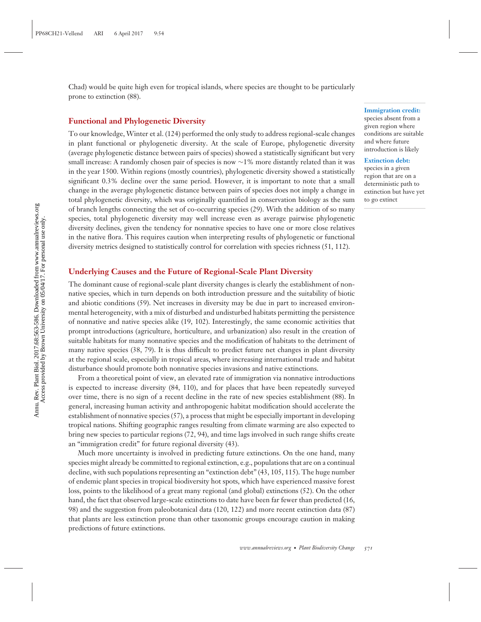Chad) would be quite high even for tropical islands, where species are thought to be particularly prone to extinction (88).

# **Functional and Phylogenetic Diversity**

To our knowledge, Winter et al. (124) performed the only study to address regional-scale changes in plant functional or phylogenetic diversity. At the scale of Europe, phylogenetic diversity (average phylogenetic distance between pairs of species) showed a statistically significant but very small increase: A randomly chosen pair of species is now ∼1% more distantly related than it was in the year 1500. Within regions (mostly countries), phylogenetic diversity showed a statistically significant 0.3% decline over the same period. However, it is important to note that a small change in the average phylogenetic distance between pairs of species does not imply a change in total phylogenetic diversity, which was originally quantified in conservation biology as the sum of branch lengths connecting the set of co-occurring species (29). With the addition of so many species, total phylogenetic diversity may well increase even as average pairwise phylogenetic diversity declines, given the tendency for nonnative species to have one or more close relatives in the native flora. This requires caution when interpreting results of phylogenetic or functional diversity metrics designed to statistically control for correlation with species richness (51, 112).

# **Underlying Causes and the Future of Regional-Scale Plant Diversity**

The dominant cause of regional-scale plant diversity changes is clearly the establishment of nonnative species, which in turn depends on both introduction pressure and the suitability of biotic and abiotic conditions (59). Net increases in diversity may be due in part to increased environmental heterogeneity, with a mix of disturbed and undisturbed habitats permitting the persistence of nonnative and native species alike (19, 102). Interestingly, the same economic activities that prompt introductions (agriculture, horticulture, and urbanization) also result in the creation of suitable habitats for many nonnative species and the modification of habitats to the detriment of many native species (38, 79). It is thus difficult to predict future net changes in plant diversity at the regional scale, especially in tropical areas, where increasing international trade and habitat disturbance should promote both nonnative species invasions and native extinctions.

From a theoretical point of view, an elevated rate of immigration via nonnative introductions is expected to increase diversity (84, 110), and for places that have been repeatedly surveyed over time, there is no sign of a recent decline in the rate of new species establishment (88). In general, increasing human activity and anthropogenic habitat modification should accelerate the establishment of nonnative species (57), a process that might be especially important in developing tropical nations. Shifting geographic ranges resulting from climate warming are also expected to bring new species to particular regions (72, 94), and time lags involved in such range shifts create an "immigration credit" for future regional diversity (43).

Much more uncertainty is involved in predicting future extinctions. On the one hand, many species might already be committed to regional extinction, e.g., populations that are on a continual decline, with such populations representing an "extinction debt" (43, 105, 115). The huge number of endemic plant species in tropical biodiversity hot spots, which have experienced massive forest loss, points to the likelihood of a great many regional (and global) extinctions (52). On the other hand, the fact that observed large-scale extinctions to date have been far fewer than predicted (16, 98) and the suggestion from paleobotanical data (120, 122) and more recent extinction data (87) that plants are less extinction prone than other taxonomic groups encourage caution in making predictions of future extinctions.

# **Immigration credit:**

species absent from a given region where conditions are suitable and where future introduction is likely

#### **Extinction debt:**

species in a given region that are on a deterministic path to extinction but have yet to go extinct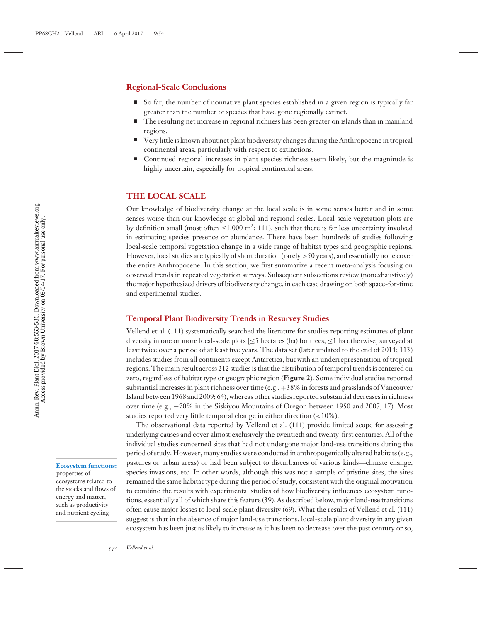# **Regional-Scale Conclusions**

- So far, the number of nonnative plant species established in a given region is typically far greater than the number of species that have gone regionally extinct.
- The resulting net increase in regional richness has been greater on islands than in mainland regions.
- $\quad \blacktriangleright$  Very little is known about net plant biodiversity changes during the Anthropocene in tropical continental areas, particularly with respect to extinctions.
- Continued regional increases in plant species richness seem likely, but the magnitude is highly uncertain, especially for tropical continental areas.

# **THE LOCAL SCALE**

Our knowledge of biodiversity change at the local scale is in some senses better and in some senses worse than our knowledge at global and regional scales. Local-scale vegetation plots are by definition small (most often  $\leq 1,000$  m<sup>2</sup>; 111), such that there is far less uncertainty involved in estimating species presence or abundance. There have been hundreds of studies following local-scale temporal vegetation change in a wide range of habitat types and geographic regions. However, local studies are typically of short duration (rarely *>*50 years), and essentially none cover the entire Anthropocene. In this section, we first summarize a recent meta-analysis focusing on observed trends in repeated vegetation surveys. Subsequent subsections review (nonexhaustively) the major hypothesized drivers of biodiversity change, in each case drawing on both space-for-time and experimental studies.

# **Temporal Plant Biodiversity Trends in Resurvey Studies**

Vellend et al. (111) systematically searched the literature for studies reporting estimates of plant diversity in one or more local-scale plots [≤5 hectares (ha) for trees, ≤1 ha otherwise] surveyed at least twice over a period of at least five years. The data set (later updated to the end of 2014; 113) includes studies from all continents except Antarctica, but with an underrepresentation of tropical regions. The main result across 212 studies is that the distribution of temporal trends is centered on zero, regardless of habitat type or geographic region (**Figure 2**). Some individual studies reported substantial increases in plant richness over time (e.g., +38% in forests and grasslands of Vancouver Island between 1968 and 2009; 64), whereas other studies reported substantial decreases in richness over time (e.g., −70% in the Siskiyou Mountains of Oregon between 1950 and 2007; 17). Most studies reported very little temporal change in either direction (*<*10%).

The observational data reported by Vellend et al. (111) provide limited scope for assessing underlying causes and cover almost exclusively the twentieth and twenty-first centuries. All of the individual studies concerned sites that had not undergone major land-use transitions during the period of study. However, many studies were conducted in anthropogenically altered habitats (e.g., pastures or urban areas) or had been subject to disturbances of various kinds—climate change, species invasions, etc. In other words, although this was not a sample of pristine sites, the sites remained the same habitat type during the period of study, consistent with the original motivation to combine the results with experimental studies of how biodiversity influences ecosystem functions, essentially all of which share this feature (39). As described below, major land-use transitions often cause major losses to local-scale plant diversity (69). What the results of Vellend et al. (111) suggest is that in the absence of major land-use transitions, local-scale plant diversity in any given ecosystem has been just as likely to increase as it has been to decrease over the past century or so,

properties of ecosystems related to the stocks and flows of energy and matter, such as productivity and nutrient cycling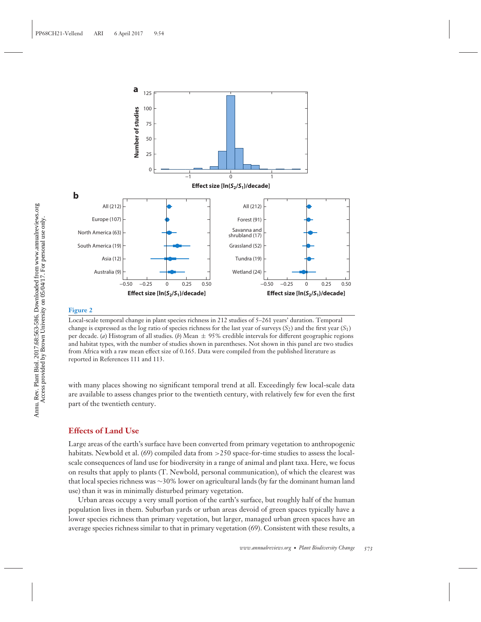

Local-scale temporal change in plant species richness in 212 studies of 5–261 years' duration. Temporal change is expressed as the log ratio of species richness for the last year of surveys (*S*2) and the first year (*S*1) per decade. (*a*) Histogram of all studies. (*b*) Mean ± 95% credible intervals for different geographic regions and habitat types, with the number of studies shown in parentheses. Not shown in this panel are two studies from Africa with a raw mean effect size of 0.165. Data were compiled from the published literature as reported in References 111 and 113.

with many places showing no significant temporal trend at all. Exceedingly few local-scale data are available to assess changes prior to the twentieth century, with relatively few for even the first part of the twentieth century.

# **Effects of Land Use**

Large areas of the earth's surface have been converted from primary vegetation to anthropogenic habitats. Newbold et al. (69) compiled data from *>*250 space-for-time studies to assess the localscale consequences of land use for biodiversity in a range of animal and plant taxa. Here, we focus on results that apply to plants (T. Newbold, personal communication), of which the clearest was that local species richness was ∼30% lower on agricultural lands (by far the dominant human land use) than it was in minimally disturbed primary vegetation.

Urban areas occupy a very small portion of the earth's surface, but roughly half of the human population lives in them. Suburban yards or urban areas devoid of green spaces typically have a lower species richness than primary vegetation, but larger, managed urban green spaces have an average species richness similar to that in primary vegetation (69). Consistent with these results, a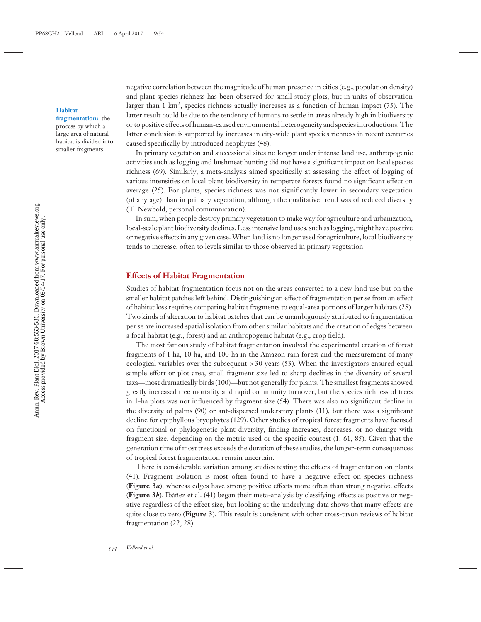#### **Habitat**

**fragmentation:** the process by which a large area of natural habitat is divided into smaller fragments

negative correlation between the magnitude of human presence in cities (e.g., population density) and plant species richness has been observed for small study plots, but in units of observation larger than  $1 \text{ km}^2$ , species richness actually increases as a function of human impact (75). The latter result could be due to the tendency of humans to settle in areas already high in biodiversity or to positive effects of human-caused environmental heterogeneity and species introductions. The latter conclusion is supported by increases in city-wide plant species richness in recent centuries caused specifically by introduced neophytes (48).

In primary vegetation and successional sites no longer under intense land use, anthropogenic activities such as logging and bushmeat hunting did not have a significant impact on local species richness (69). Similarly, a meta-analysis aimed specifically at assessing the effect of logging of various intensities on local plant biodiversity in temperate forests found no significant effect on average (25). For plants, species richness was not significantly lower in secondary vegetation (of any age) than in primary vegetation, although the qualitative trend was of reduced diversity (T. Newbold, personal communication).

In sum, when people destroy primary vegetation to make way for agriculture and urbanization, local-scale plant biodiversity declines. Less intensive land uses, such as logging, might have positive or negative effects in any given case. When land is no longer used for agriculture, local biodiversity tends to increase, often to levels similar to those observed in primary vegetation.

# **Effects of Habitat Fragmentation**

Studies of habitat fragmentation focus not on the areas converted to a new land use but on the smaller habitat patches left behind. Distinguishing an effect of fragmentation per se from an effect of habitat loss requires comparing habitat fragments to equal-area portions of larger habitats (28). Two kinds of alteration to habitat patches that can be unambiguously attributed to fragmentation per se are increased spatial isolation from other similar habitats and the creation of edges between a focal habitat (e.g., forest) and an anthropogenic habitat (e.g., crop field).

The most famous study of habitat fragmentation involved the experimental creation of forest fragments of 1 ha, 10 ha, and 100 ha in the Amazon rain forest and the measurement of many ecological variables over the subsequent *>*30 years (53). When the investigators ensured equal sample effort or plot area, small fragment size led to sharp declines in the diversity of several taxa—most dramatically birds (100)—but not generally for plants. The smallest fragments showed greatly increased tree mortality and rapid community turnover, but the species richness of trees in 1-ha plots was not influenced by fragment size (54). There was also no significant decline in the diversity of palms (90) or ant-dispersed understory plants (11), but there was a significant decline for epiphyllous bryophytes (129). Other studies of tropical forest fragments have focused on functional or phylogenetic plant diversity, finding increases, decreases, or no change with fragment size, depending on the metric used or the specific context (1, 61, 85). Given that the generation time of most trees exceeds the duration of these studies, the longer-term consequences of tropical forest fragmentation remain uncertain.

There is considerable variation among studies testing the effects of fragmentation on plants (41). Fragment isolation is most often found to have a negative effect on species richness (**Figure 3***a*), whereas edges have strong positive effects more often than strong negative effects (**Figure 3***b*). Ibáñez et al. (41) began their meta-analysis by classifying effects as positive or negative regardless of the effect size, but looking at the underlying data shows that many effects are quite close to zero (**Figure 3**). This result is consistent with other cross-taxon reviews of habitat fragmentation (22, 28).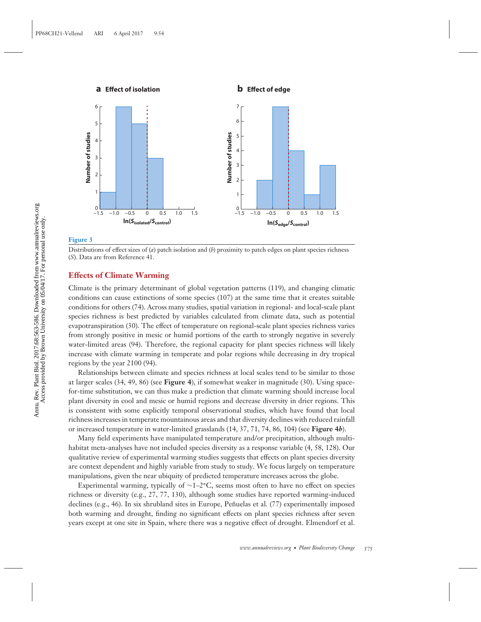

Distributions of effect sizes of (*a*) patch isolation and (*b*) proximity to patch edges on plant species richness (*S*). Data are from Reference 41.

# **Effects of Climate Warming**

Climate is the primary determinant of global vegetation patterns (119), and changing climatic conditions can cause extinctions of some species (107) at the same time that it creates suitable conditions for others (74). Across many studies, spatial variation in regional- and local-scale plant species richness is best predicted by variables calculated from climate data, such as potential evapotranspiration (30). The effect of temperature on regional-scale plant species richness varies from strongly positive in mesic or humid portions of the earth to strongly negative in severely water-limited areas (94). Therefore, the regional capacity for plant species richness will likely increase with climate warming in temperate and polar regions while decreasing in dry tropical regions by the year 2100 (94).

Relationships between climate and species richness at local scales tend to be similar to those at larger scales (34, 49, 86) (see **Figure 4**), if somewhat weaker in magnitude (30). Using spacefor-time substitution, we can thus make a prediction that climate warming should increase local plant diversity in cool and mesic or humid regions and decrease diversity in drier regions. This is consistent with some explicitly temporal observational studies, which have found that local richness increases in temperate mountainous areas and that diversity declines with reduced rainfall or increased temperature in water-limited grasslands (14, 37, 71, 74, 86, 104) (see **Figure 4***b*).

Many field experiments have manipulated temperature and/or precipitation, although multihabitat meta-analyses have not included species diversity as a response variable (4, 58, 128). Our qualitative review of experimental warming studies suggests that effects on plant species diversity are context dependent and highly variable from study to study. We focus largely on temperature manipulations, given the near ubiquity of predicted temperature increases across the globe.

Experimental warming, typically of ∼1–2**◦**C, seems most often to have no effect on species richness or diversity (e.g., 27, 77, 130), although some studies have reported warming-induced declines (e.g., 46). In six shrubland sites in Europe, Peñuelas et al.  $(77)$  experimentally imposed both warming and drought, finding no significant effects on plant species richness after seven years except at one site in Spain, where there was a negative effect of drought. Elmendorf et al.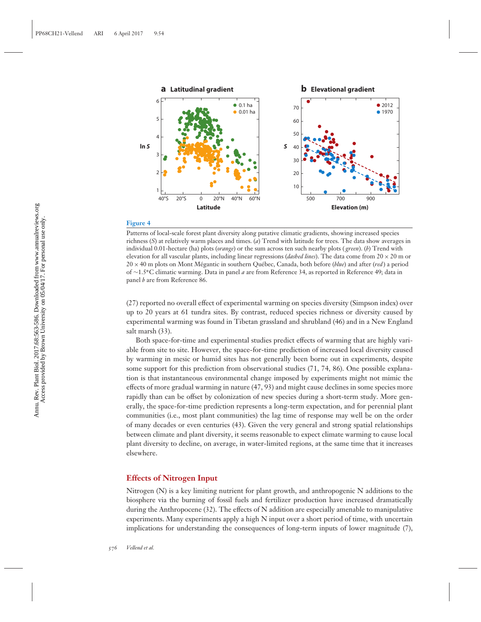

Patterns of local-scale forest plant diversity along putative climatic gradients, showing increased species richness (*S*) at relatively warm places and times. (*a*) Trend with latitude for trees. The data show averages in individual 0.01-hectare (ha) plots (*orange*) or the sum across ten such nearby plots ( *green*). (*b*) Trend with elevation for all vascular plants, including linear regressions (*dashed lines*). The data come from 20 × 20 m or  $20 \times 40$  m plots on Mont Mégantic in southern Québec, Canada, both before (*blue*) and after (*red*) a period of ∼1.5**◦**C climatic warming. Data in panel *a* are from Reference 34, as reported in Reference 49; data in panel *b* are from Reference 86.

(27) reported no overall effect of experimental warming on species diversity (Simpson index) over up to 20 years at 61 tundra sites. By contrast, reduced species richness or diversity caused by experimental warming was found in Tibetan grassland and shrubland (46) and in a New England salt marsh (33).

Both space-for-time and experimental studies predict effects of warming that are highly variable from site to site. However, the space-for-time prediction of increased local diversity caused by warming in mesic or humid sites has not generally been borne out in experiments, despite some support for this prediction from observational studies (71, 74, 86). One possible explanation is that instantaneous environmental change imposed by experiments might not mimic the effects of more gradual warming in nature (47, 93) and might cause declines in some species more rapidly than can be offset by colonization of new species during a short-term study. More generally, the space-for-time prediction represents a long-term expectation, and for perennial plant communities (i.e., most plant communities) the lag time of response may well be on the order of many decades or even centuries (43). Given the very general and strong spatial relationships between climate and plant diversity, it seems reasonable to expect climate warming to cause local plant diversity to decline, on average, in water-limited regions, at the same time that it increases elsewhere.

# **Effects of Nitrogen Input**

Nitrogen (N) is a key limiting nutrient for plant growth, and anthropogenic N additions to the biosphere via the burning of fossil fuels and fertilizer production have increased dramatically during the Anthropocene  $(32)$ . The effects of N addition are especially amenable to manipulative experiments. Many experiments apply a high N input over a short period of time, with uncertain implications for understanding the consequences of long-term inputs of lower magnitude (7),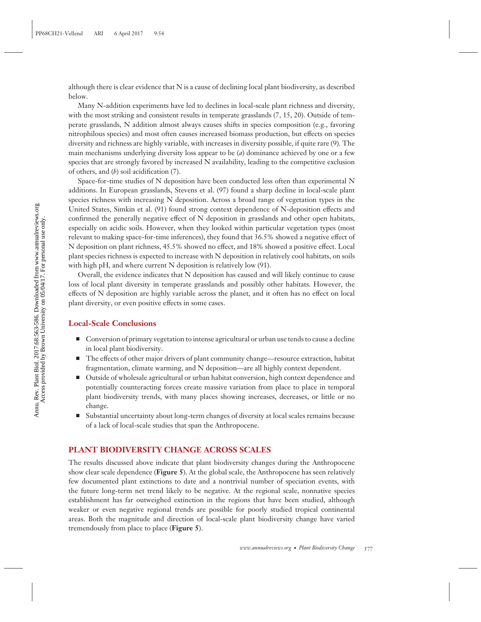although there is clear evidence that  $N$  is a cause of declining local plant biodiversity, as described below.

Many N-addition experiments have led to declines in local-scale plant richness and diversity, with the most striking and consistent results in temperate grasslands (7, 15, 20). Outside of temperate grasslands, N addition almost always causes shifts in species composition (e.g., favoring nitrophilous species) and most often causes increased biomass production, but effects on species diversity and richness are highly variable, with increases in diversity possible, if quite rare (9). The main mechanisms underlying diversity loss appear to be (*a*) dominance achieved by one or a few species that are strongly favored by increased N availability, leading to the competitive exclusion of others, and (*b*) soil acidification (7).

Space-for-time studies of N deposition have been conducted less often than experimental N additions. In European grasslands, Stevens et al. (97) found a sharp decline in local-scale plant species richness with increasing N deposition. Across a broad range of vegetation types in the United States, Simkin et al. (91) found strong context dependence of N-deposition effects and confirmed the generally negative effect of N deposition in grasslands and other open habitats, especially on acidic soils. However, when they looked within particular vegetation types (most relevant to making space-for-time inferences), they found that 36.5% showed a negative effect of N deposition on plant richness, 45.5% showed no effect, and 18% showed a positive effect. Local plant species richness is expected to increase with N deposition in relatively cool habitats, on soils with high pH, and where current N deposition is relatively low (91).

Overall, the evidence indicates that N deposition has caused and will likely continue to cause loss of local plant diversity in temperate grasslands and possibly other habitats. However, the effects of N deposition are highly variable across the planet, and it often has no effect on local plant diversity, or even positive effects in some cases.

# **Local-Scale Conclusions**

- - Conversion of primary vegetation to intense agricultural or urban use tends to cause a decline in local plant biodiversity.
- - The effects of other major drivers of plant community change—resource extraction, habitat fragmentation, climate warming, and N deposition—are all highly context dependent.
- $\quad \blacksquare \quad$  Outside of wholesale agricultural or urban habitat conversion, high context dependence and potentially counteracting forces create massive variation from place to place in temporal plant biodiversity trends, with many places showing increases, decreases, or little or no change.
- - Substantial uncertainty about long-term changes of diversity at local scales remains because of a lack of local-scale studies that span the Anthropocene.

# **PLANT BIODIVERSITY CHANGE ACROSS SCALES**

The results discussed above indicate that plant biodiversity changes during the Anthropocene show clear scale dependence (**Figure 5**). At the global scale, the Anthropocene has seen relatively few documented plant extinctions to date and a nontrivial number of speciation events, with the future long-term net trend likely to be negative. At the regional scale, nonnative species establishment has far outweighed extinction in the regions that have been studied, although weaker or even negative regional trends are possible for poorly studied tropical continental areas. Both the magnitude and direction of local-scale plant biodiversity change have varied tremendously from place to place (**Figure 5**).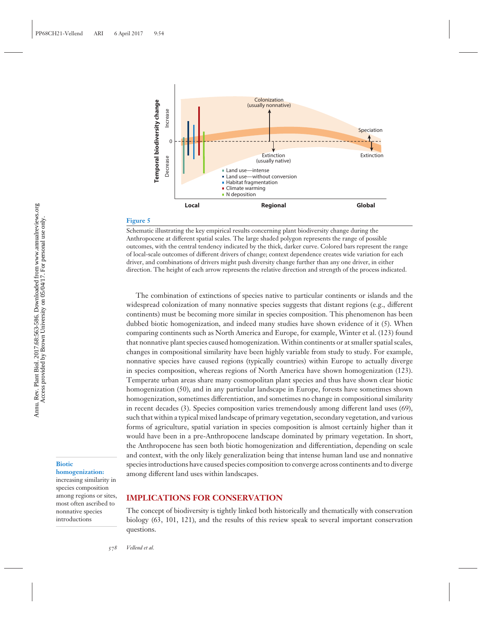

Schematic illustrating the key empirical results concerning plant biodiversity change during the Anthropocene at different spatial scales. The large shaded polygon represents the range of possible outcomes, with the central tendency indicated by the thick, darker curve. Colored bars represent the range of local-scale outcomes of different drivers of change; context dependence creates wide variation for each driver, and combinations of drivers might push diversity change further than any one driver, in either direction. The height of each arrow represents the relative direction and strength of the process indicated.

The combination of extinctions of species native to particular continents or islands and the widespread colonization of many nonnative species suggests that distant regions (e.g., different continents) must be becoming more similar in species composition. This phenomenon has been dubbed biotic homogenization, and indeed many studies have shown evidence of it (5). When comparing continents such as North America and Europe, for example, Winter et al. (123) found that nonnative plant species caused homogenization. Within continents or at smaller spatial scales, changes in compositional similarity have been highly variable from study to study. For example, nonnative species have caused regions (typically countries) within Europe to actually diverge in species composition, whereas regions of North America have shown homogenization (123). Temperate urban areas share many cosmopolitan plant species and thus have shown clear biotic homogenization (50), and in any particular landscape in Europe, forests have sometimes shown homogenization, sometimes differentiation, and sometimes no change in compositional similarity in recent decades (3). Species composition varies tremendously among different land uses (69), such that within a typical mixed landscape of primary vegetation, secondary vegetation, and various forms of agriculture, spatial variation in species composition is almost certainly higher than it would have been in a pre-Anthropocene landscape dominated by primary vegetation. In short, the Anthropocene has seen both biotic homogenization and differentiation, depending on scale and context, with the only likely generalization being that intense human land use and nonnative species introductions have caused species composition to converge across continents and to diverge among different land uses within landscapes.

# **Biotic homogenization:**

increasing similarity in species composition among regions or sites, most often ascribed to nonnative species introductions

# **IMPLICATIONS FOR CONSERVATION**

The concept of biodiversity is tightly linked both historically and thematically with conservation biology (63, 101, 121), and the results of this review speak to several important conservation questions.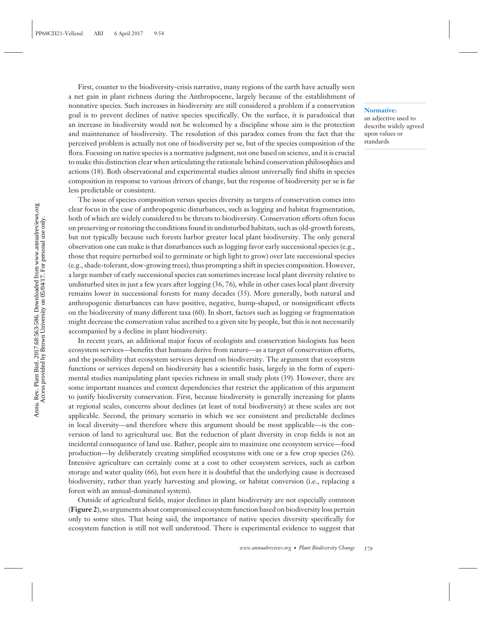First, counter to the biodiversity-crisis narrative, many regions of the earth have actually seen a net gain in plant richness during the Anthropocene, largely because of the establishment of nonnative species. Such increases in biodiversity are still considered a problem if a conservation goal is to prevent declines of native species specifically. On the surface, it is paradoxical that an increase in biodiversity would not be welcomed by a discipline whose aim is the protection and maintenance of biodiversity. The resolution of this paradox comes from the fact that the perceived problem is actually not one of biodiversity per se, but of the species composition of the flora. Focusing on native species is a normative judgment, not one based on science, and it is crucial to make this distinction clear when articulating the rationale behind conservation philosophies and actions (18). Both observational and experimental studies almost universally find shifts in species composition in response to various drivers of change, but the response of biodiversity per se is far less predictable or consistent.

The issue of species composition versus species diversity as targets of conservation comes into clear focus in the case of anthropogenic disturbances, such as logging and habitat fragmentation, both of which are widely considered to be threats to biodiversity. Conservation efforts often focus on preserving or restoring the conditions found in undisturbed habitats, such as old-growth forests, but not typically because such forests harbor greater local plant biodiversity. The only general observation one can make is that disturbances such as logging favor early successional species (e.g., those that require perturbed soil to germinate or high light to grow) over late successional species (e.g., shade-tolerant, slow-growing trees), thus prompting a shift in species composition. However, a large number of early successional species can sometimes increase local plant diversity relative to undisturbed sites in just a few years after logging (36, 76), while in other cases local plant diversity remains lower in successional forests for many decades (35). More generally, both natural and anthropogenic disturbances can have positive, negative, hump-shaped, or nonsignificant effects on the biodiversity of many different taxa (60). In short, factors such as logging or fragmentation might decrease the conservation value ascribed to a given site by people, but this is not necessarily accompanied by a decline in plant biodiversity.

In recent years, an additional major focus of ecologists and conservation biologists has been ecosystem services—benefits that humans derive from nature—as a target of conservation efforts, and the possibility that ecosystem services depend on biodiversity. The argument that ecosystem functions or services depend on biodiversity has a scientific basis, largely in the form of experimental studies manipulating plant species richness in small study plots (39). However, there are some important nuances and context dependencies that restrict the application of this argument to justify biodiversity conservation. First, because biodiversity is generally increasing for plants at regional scales, concerns about declines (at least of total biodiversity) at these scales are not applicable. Second, the primary scenario in which we see consistent and predictable declines in local diversity—and therefore where this argument should be most applicable—is the conversion of land to agricultural use. But the reduction of plant diversity in crop fields is not an incidental consequence of land use. Rather, people aim to maximize one ecosystem service—food production—by deliberately creating simplified ecosystems with one or a few crop species (26). Intensive agriculture can certainly come at a cost to other ecosystem services, such as carbon storage and water quality (66), but even here it is doubtful that the underlying cause is decreased biodiversity, rather than yearly harvesting and plowing, or habitat conversion (i.e., replacing a forest with an annual-dominated system).

Outside of agricultural fields, major declines in plant biodiversity are not especially common (**Figure 2**), so arguments about compromised ecosystem function based on biodiversity loss pertain only to some sites. That being said, the importance of native species diversity specifically for ecosystem function is still not well understood. There is experimental evidence to suggest that

# **Normative:**

an adjective used to describe widely agreed upon values or standards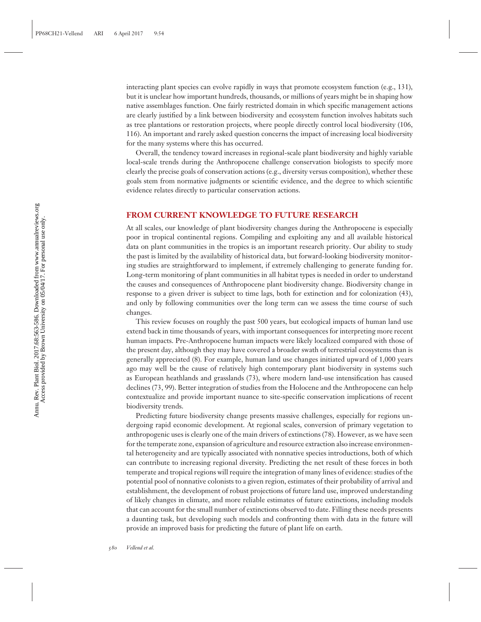interacting plant species can evolve rapidly in ways that promote ecosystem function (e.g., 131), but it is unclear how important hundreds, thousands, or millions of years might be in shaping how native assemblages function. One fairly restricted domain in which specific management actions are clearly justified by a link between biodiversity and ecosystem function involves habitats such as tree plantations or restoration projects, where people directly control local biodiversity (106, 116). An important and rarely asked question concerns the impact of increasing local biodiversity for the many systems where this has occurred.

Overall, the tendency toward increases in regional-scale plant biodiversity and highly variable local-scale trends during the Anthropocene challenge conservation biologists to specify more clearly the precise goals of conservation actions (e.g., diversity versus composition), whether these goals stem from normative judgments or scientific evidence, and the degree to which scientific evidence relates directly to particular conservation actions.

# **FROM CURRENT KNOWLEDGE TO FUTURE RESEARCH**

At all scales, our knowledge of plant biodiversity changes during the Anthropocene is especially poor in tropical continental regions. Compiling and exploiting any and all available historical data on plant communities in the tropics is an important research priority. Our ability to study the past is limited by the availability of historical data, but forward-looking biodiversity monitoring studies are straightforward to implement, if extremely challenging to generate funding for. Long-term monitoring of plant communities in all habitat types is needed in order to understand the causes and consequences of Anthropocene plant biodiversity change. Biodiversity change in response to a given driver is subject to time lags, both for extinction and for colonization (43), and only by following communities over the long term can we assess the time course of such changes.

This review focuses on roughly the past 500 years, but ecological impacts of human land use extend back in time thousands of years, with important consequences for interpreting more recent human impacts. Pre-Anthropocene human impacts were likely localized compared with those of the present day, although they may have covered a broader swath of terrestrial ecosystems than is generally appreciated (8). For example, human land use changes initiated upward of 1,000 years ago may well be the cause of relatively high contemporary plant biodiversity in systems such as European heathlands and grasslands (73), where modern land-use intensification has caused declines (73, 99). Better integration of studies from the Holocene and the Anthropocene can help contextualize and provide important nuance to site-specific conservation implications of recent biodiversity trends.

Predicting future biodiversity change presents massive challenges, especially for regions undergoing rapid economic development. At regional scales, conversion of primary vegetation to anthropogenic uses is clearly one of the main drivers of extinctions (78). However, as we have seen for the temperate zone, expansion of agriculture and resource extraction also increase environmental heterogeneity and are typically associated with nonnative species introductions, both of which can contribute to increasing regional diversity. Predicting the net result of these forces in both temperate and tropical regions will require the integration of many lines of evidence: studies of the potential pool of nonnative colonists to a given region, estimates of their probability of arrival and establishment, the development of robust projections of future land use, improved understanding of likely changes in climate, and more reliable estimates of future extinctions, including models that can account for the small number of extinctions observed to date. Filling these needs presents a daunting task, but developing such models and confronting them with data in the future will provide an improved basis for predicting the future of plant life on earth.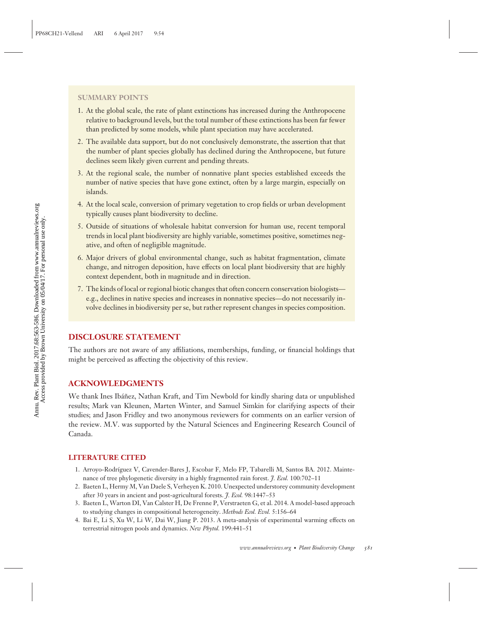# **SUMMARY POINTS**

- 1. At the global scale, the rate of plant extinctions has increased during the Anthropocene relative to background levels, but the total number of these extinctions has been far fewer than predicted by some models, while plant speciation may have accelerated.
- 2. The available data support, but do not conclusively demonstrate, the assertion that that the number of plant species globally has declined during the Anthropocene, but future declines seem likely given current and pending threats.
- 3. At the regional scale, the number of nonnative plant species established exceeds the number of native species that have gone extinct, often by a large margin, especially on islands.
- 4. At the local scale, conversion of primary vegetation to crop fields or urban development typically causes plant biodiversity to decline.
- 5. Outside of situations of wholesale habitat conversion for human use, recent temporal trends in local plant biodiversity are highly variable, sometimes positive, sometimes negative, and often of negligible magnitude.
- 6. Major drivers of global environmental change, such as habitat fragmentation, climate change, and nitrogen deposition, have effects on local plant biodiversity that are highly context dependent, both in magnitude and in direction.
- 7. The kinds of local or regional biotic changes that often concern conservation biologists e.g., declines in native species and increases in nonnative species—do not necessarily involve declines in biodiversity per se, but rather represent changes in species composition.

# **DISCLOSURE STATEMENT**

The authors are not aware of any affiliations, memberships, funding, or financial holdings that might be perceived as affecting the objectivity of this review.

# **ACKNOWLEDGMENTS**

We thank Ines Ibáñez, Nathan Kraft, and Tim Newbold for kindly sharing data or unpublished results; Mark van Kleunen, Marten Winter, and Samuel Simkin for clarifying aspects of their studies; and Jason Fridley and two anonymous reviewers for comments on an earlier version of the review. M.V. was supported by the Natural Sciences and Engineering Research Council of Canada.

# **LITERATURE CITED**

- 1. Arroyo-Rodríguez V, Cavender-Bares J, Escobar F, Melo FP, Tabarelli M, Santos BA. 2012. Maintenance of tree phylogenetic diversity in a highly fragmented rain forest. *J. Ecol.* 100:702–11
- 2. Baeten L, Hermy M, Van Daele S, Verheyen K. 2010. Unexpected understorey community development after 30 years in ancient and post-agricultural forests. *J. Ecol.* 98:1447–53
- 3. Baeten L, Warton DI, Van Calster H, De Frenne P, Verstraeten G, et al. 2014. A model-based approach to studying changes in compositional heterogeneity. *Methods Ecol. Evol.* 5:156–64
- 4. Bai E, Li S, Xu W, Li W, Dai W, Jiang P. 2013. A meta-analysis of experimental warming effects on terrestrial nitrogen pools and dynamics. *New Phytol.* 199:441–51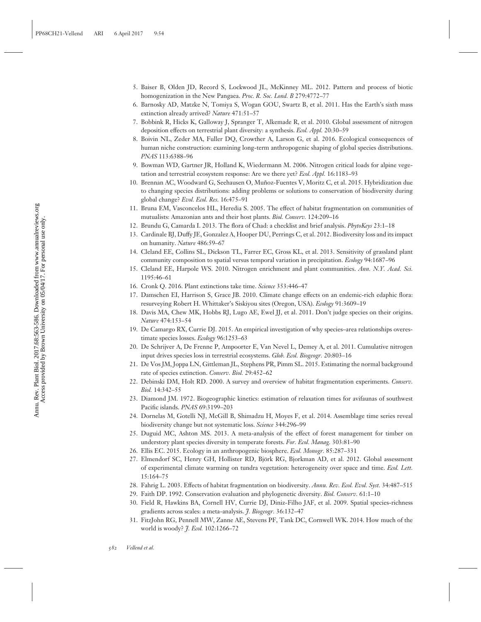- 5. Baiser B, Olden JD, Record S, Lockwood JL, McKinney ML. 2012. Pattern and process of biotic homogenization in the New Pangaea. *Proc. R. Soc. Lond. B* 279:4772–77
- 6. Barnosky AD, Matzke N, Tomiya S, Wogan GOU, Swartz B, et al. 2011. Has the Earth's sixth mass extinction already arrived? *Nature* 471:51–57
- 7. Bobbink R, Hicks K, Galloway J, Spranger T, Alkemade R, et al. 2010. Global assessment of nitrogen deposition effects on terrestrial plant diversity: a synthesis. *Ecol. Appl.* 20:30–59
- 8. Boivin NL, Zeder MA, Fuller DQ, Crowther A, Larson G, et al. 2016. Ecological consequences of human niche construction: examining long-term anthropogenic shaping of global species distributions. *PNAS* 113:6388–96
- 9. Bowman WD, Gartner JR, Holland K, Wiedermann M. 2006. Nitrogen critical loads for alpine vegetation and terrestrial ecosystem response: Are we there yet? *Ecol. Appl.* 16:1183–93
- 10. Brennan AC, Woodward G, Seehausen O, Muñoz-Fuentes V, Moritz C, et al. 2015. Hybridization due to changing species distributions: adding problems or solutions to conservation of biodiversity during global change? *Evol. Ecol. Res.* 16:475–91
- 11. Bruna EM, Vasconcelos HL, Heredia S. 2005. The effect of habitat fragmentation on communities of mutualists: Amazonian ants and their host plants. *Biol. Conserv.* 124:209–16
- 12. Brundu G, Camarda I. 2013. The flora of Chad: a checklist and brief analysis. *PhytoKeys* 23:1–18
- 13. Cardinale BJ, Duffy JE, Gonzalez A, Hooper DU, Perrings C, et al. 2012. Biodiversity loss and its impact on humanity. *Nature* 486:59–67
- 14. Cleland EE, Collins SL, Dickson TL, Farrer EC, Gross KL, et al. 2013. Sensitivity of grassland plant community composition to spatial versus temporal variation in precipitation. *Ecology* 94:1687–96
- 15. Cleland EE, Harpole WS. 2010. Nitrogen enrichment and plant communities. *Ann. N.Y. Acad. Sci.* 1195:46–61
- 16. Cronk Q. 2016. Plant extinctions take time. *Science* 353:446–47
- 17. Damschen EI, Harrison S, Grace JB. 2010. Climate change effects on an endemic-rich edaphic flora: resurveying Robert H. Whittaker's Siskiyou sites (Oregon, USA). *Ecology* 91:3609–19
- 18. Davis MA, Chew MK, Hobbs RJ, Lugo AE, Ewel JJ, et al. 2011. Don't judge species on their origins. *Nature* 474:153–54
- 19. De Camargo RX, Currie DJ. 2015. An empirical investigation of why species–area relationships overestimate species losses. *Ecology* 96:1253–63
- 20. De Schrijver A, De Frenne P, Ampoorter E, Van Nevel L, Demey A, et al. 2011. Cumulative nitrogen input drives species loss in terrestrial ecosystems. *Glob. Ecol. Biogeogr.* 20:803–16
- 21. De Vos JM, Joppa LN, Gittleman JL, Stephens PR, Pimm SL. 2015. Estimating the normal background rate of species extinction. *Conserv. Biol.* 29:452–62
- 22. Debinski DM, Holt RD. 2000. A survey and overview of habitat fragmentation experiments. *Conserv. Biol.* 14:342–55
- 23. Diamond JM. 1972. Biogeographic kinetics: estimation of relaxation times for avifaunas of southwest Pacific islands. *PNAS* 69:3199–203
- 24. Dornelas M, Gotelli NJ, McGill B, Shimadzu H, Moyes F, et al. 2014. Assemblage time series reveal biodiversity change but not systematic loss. *Science* 344:296–99
- 25. Duguid MC, Ashton MS. 2013. A meta-analysis of the effect of forest management for timber on understory plant species diversity in temperate forests. *For. Ecol. Manag.* 303:81–90
- 26. Ellis EC. 2015. Ecology in an anthropogenic biosphere. *Ecol. Monogr.* 85:287–331
- 27. Elmendorf SC, Henry GH, Hollister RD, Bjork RG, Bjorkman AD, et al. 2012. Global assessment ¨ of experimental climate warming on tundra vegetation: heterogeneity over space and time. *Ecol. Lett.* 15:164–75
- 28. Fahrig L. 2003. Effects of habitat fragmentation on biodiversity. *Annu. Rev. Ecol. Evol. Syst.* 34:487–515
- 29. Faith DP. 1992. Conservation evaluation and phylogenetic diversity. *Biol. Conserv.* 61:1–10
- 30. Field R, Hawkins BA, Cornell HV, Currie DJ, Diniz-Filho JAF, et al. 2009. Spatial species-richness gradients across scales: a meta-analysis. *J. Biogeogr.* 36:132–47
- 31. FitzJohn RG, Pennell MW, Zanne AE, Stevens PF, Tank DC, Cornwell WK. 2014. How much of the world is woody? *J. Ecol.* 102:1266–72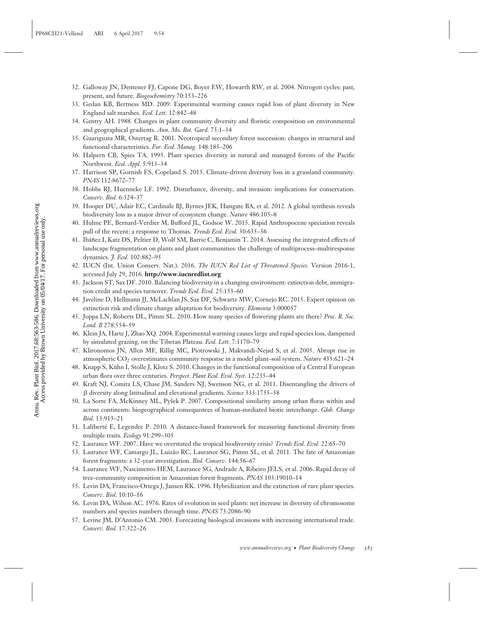- 32. Galloway JN, Dentener FJ, Capone DG, Boyer EW, Howarth RW, et al. 2004. Nitrogen cycles: past, present, and future. *Biogeochemistry* 70:153–226
- 33. Gedan KB, Bertness MD. 2009. Experimental warming causes rapid loss of plant diversity in New England salt marshes. *Ecol. Lett.* 12:842–48
- 34. Gentry AH. 1988. Changes in plant community diversity and floristic composition on environmental and geographical gradients. *Ann. Mo. Bot. Gard.* 75:1–34
- 35. Guariguata MR, Ostertag R. 2001. Neotropical secondary forest succession: changes in structural and functional characteristics. *For. Ecol. Manag.* 148:185–206
- 36. Halpern CB, Spies TA. 1995. Plant species diversity in natural and managed forests of the Pacific Northwest. *Ecol. Appl.* 5:913–34
- 37. Harrison SP, Gornish ES, Copeland S. 2015. Climate-driven diversity loss in a grassland community. *PNAS* 112:8672–77
- 38. Hobbs RJ, Huenneke LF. 1992. Disturbance, diversity, and invasion: implications for conservation. *Conserv. Biol.* 6:324–37
- 39. Hooper DU, Adair EC, Cardinale BJ, Byrnes JEK, Hungate BA, et al. 2012. A global synthesis reveals biodiversity loss as a major driver of ecosystem change. *Nature* 486:105–8
- 40. Hulme PE, Bernard-Verdier M, Bufford JL, Godsoe W. 2015. Rapid Anthropocene speciation reveals pull of the recent: a response to Thomas. *Trends Ecol. Evol.* 30:635–36
- 41. Ibáñez I, Katz DS, Peltier D, Wolf SM, Barrie C, Benjamin T. 2014. Assessing the integrated effects of landscape fragmentation on plants and plant communities: the challenge of multiprocess–multiresponse dynamics. *J. Ecol.* 102:882–95
- 42. IUCN (Int. Union Conserv. Nat.). 2016. *The IUCN Red List of Threatened Species.* Version 2016-1, accessed July 29, 2016. **<http://www.iucnredlist.org>**
- 43. Jackson ST, Sax DF. 2010. Balancing biodiversity in a changing environment: extinction debt, immigration credit and species turnover. *Trends Ecol. Evol.* 25:153–60
- 44. Javeline D, Hellmann JJ, McLachlan JS, Sax DF, Schwartz MW, Cornejo RC. 2015. Expert opinion on extinction risk and climate change adaptation for biodiversity. *Elementa* 3:000057
- 45. Joppa LN, Roberts DL, Pimm SL. 2010. How many species of flowering plants are there? *Proc. R. Soc. Lond. B* 278:554–59
- 46. Klein JA, Harte J, Zhao XQ. 2004. Experimental warming causes large and rapid species loss, dampened by simulated grazing, on the Tibetan Plateau. *Ecol. Lett.* 7:1170–79
- 47. Klironomos JN, Allen MF, Rillig MC, Piotrowski J, Makvandi-Nejad S, et al. 2005. Abrupt rise in atmospheric CO2 overestimates community response in a model plant–soil system. *Nature* 433:621–24
- 48. Knapp S, Kuhn I, Stolle J, Klotz S. 2010. Changes in the functional composition of a Central European ¨ urban flora over three centuries. *Perspect. Plant Ecol. Evol. Syst.* 12:235–44
- 49. Kraft NJ, Comita LS, Chase JM, Sanders NJ, Swenson NG, et al. 2011. Disentangling the drivers of β diversity along latitudinal and elevational gradients. *Science* 333:1755–58
- 50. La Sorte FA, McKinney ML, Pyšek P. 2007. Compositional similarity among urban floras within and across continents: biogeographical consequences of human-mediated biotic interchange. *Glob. Change Biol.* 13:913–21
- 51. Laliberte E, Legendre P. 2010. A distance-based framework for measuring functional diversity from ´ multiple traits. *Ecology* 91:299–305
- 52. Laurance WF. 2007. Have we overstated the tropical biodiversity crisis? *Trends Ecol. Evol.* 22:65–70
- 53. Laurance WF, Camargo JL, Luizão RC, Laurance SG, Pimm SL, et al. 2011. The fate of Amazonian forest fragments: a 32-year investigation. *Biol. Conserv.* 144:56–67
- 54. Laurance WF, Nascimento HEM, Laurance SG, Andrade A, Ribeiro JELS, et al. 2006. Rapid decay of tree-community composition in Amazonian forest fragments. *PNAS* 103:19010–14
- 55. Levin DA, Francisco-Ortega J, Jansen RK. 1996. Hybridization and the extinction of rare plant species. *Conserv. Biol.* 10:10–16
- 56. Levin DA, Wilson AC. 1976. Rates of evolution in seed plants: net increase in diversity of chromosome numbers and species numbers through time. *PNAS* 73:2086–90
- 57. Levine JM, D'Antonio CM. 2003. Forecasting biological invasions with increasing international trade. *Conserv. Biol.* 17:322–26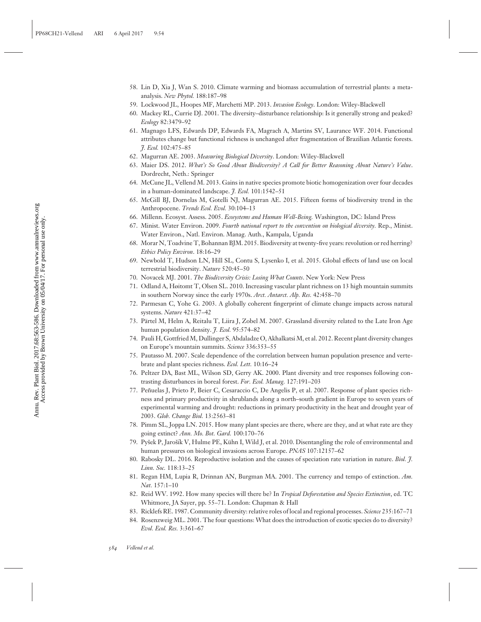- 58. Lin D, Xia J, Wan S. 2010. Climate warming and biomass accumulation of terrestrial plants: a metaanalysis. *New Phytol.* 188:187–98
- 59. Lockwood JL, Hoopes MF, Marchetti MP. 2013. *Invasion Ecology*. London: Wiley-Blackwell
- 60. Mackey RL, Currie DJ. 2001. The diversity–disturbance relationship: Is it generally strong and peaked? *Ecology* 82:3479–92
- 61. Magnago LFS, Edwards DP, Edwards FA, Magrach A, Martins SV, Laurance WF. 2014. Functional attributes change but functional richness is unchanged after fragmentation of Brazilian Atlantic forests. *J. Ecol.* 102:475–85
- 62. Magurran AE. 2003. *Measuring Biological Diversity*. London: Wiley-Blackwell
- 63. Maier DS. 2012. *What's So Good About Biodiversity? A Call for Better Reasoning About Nature's Value*. Dordrecht, Neth.: Springer
- 64. McCune JL, Vellend M. 2013. Gains in native species promote biotic homogenization over four decades in a human-dominated landscape. *J. Ecol.* 101:1542–51
- 65. McGill BJ, Dornelas M, Gotelli NJ, Magurran AE. 2015. Fifteen forms of biodiversity trend in the Anthropocene. *Trends Ecol. Evol.* 30:104–13
- 66. Millenn. Ecosyst. Assess. 2005. *Ecosystems and Human Well-Being.* Washington, DC: Island Press
- 67. Minist. Water Environ. 2009. *Fourth national report to the convention on biological diversity.* Rep., Minist. Water Environ., Natl. Environ. Manag. Auth., Kampala, Uganda
- 68. Morar N, Toadvine T, Bohannan BJM. 2015. Biodiversity at twenty-five years: revolution or red herring? *Ethics Policy Environ*. 18:16–29
- 69. Newbold T, Hudson LN, Hill SL, Contu S, Lysenko I, et al. 2015. Global effects of land use on local terrestrial biodiversity. *Nature* 520:45–50
- 70. Novacek MJ. 2001. *The Biodiversity Crisis: Losing What Counts*. New York: New Press
- 71. Odland A, Høitomt T, Olsen SL. 2010. Increasing vascular plant richness on 13 high mountain summits in southern Norway since the early 1970s. *Arct. Antarct. Alp. Res.* 42:458–70
- 72. Parmesan C, Yohe G. 2003. A globally coherent fingerprint of climate change impacts across natural systems. *Nature* 421:37–42
- 73. Partel M, Helm A, Reitalu T, Liira J, Zobel M. 2007. Grassland diversity related to the Late Iron Age ¨ human population density. *J. Ecol.* 95:574–82
- 74. Pauli H, Gottfried M, Dullinger S, Abdaladze O, Akhalkatsi M, et al. 2012. Recent plant diversity changes on Europe's mountain summits. *Science* 336:353–55
- 75. Pautasso M. 2007. Scale dependence of the correlation between human population presence and vertebrate and plant species richness. *Ecol. Lett.* 10:16–24
- 76. Peltzer DA, Bast ML, Wilson SD, Gerry AK. 2000. Plant diversity and tree responses following contrasting disturbances in boreal forest. *For. Ecol. Manag.* 127:191–203
- 77. Peñuelas J, Prieto P, Beier C, Cesaraccio C, De Angelis P, et al. 2007. Response of plant species richness and primary productivity in shrublands along a north–south gradient in Europe to seven years of experimental warming and drought: reductions in primary productivity in the heat and drought year of 2003. *Glob. Change Biol.* 13:2563–81
- 78. Pimm SL, Joppa LN. 2015. How many plant species are there, where are they, and at what rate are they going extinct? *Ann. Mo. Bot. Gard.* 100:170–76
- 79. Pyšek P, Jarošík V, Hulme PE, Kühn I, Wild J, et al. 2010. Disentangling the role of environmental and human pressures on biological invasions across Europe. *PNAS* 107:12157–62
- 80. Rabosky DL. 2016. Reproductive isolation and the causes of speciation rate variation in nature. *Biol. J. Linn. Soc.* 118:13–25
- 81. Regan HM, Lupia R, Drinnan AN, Burgman MA. 2001. The currency and tempo of extinction. *Am. Nat.* 157:1–10
- 82. Reid WV. 1992. How many species will there be? In *Tropical Deforestation and Species Extinction*, ed. TC Whitmore, JA Sayer, pp. 55–71. London: Chapman & Hall
- 83. Ricklefs RE. 1987. Community diversity: relative roles of local and regional processes. *Science* 235:167–71
- 84. Rosenzweig ML. 2001. The four questions: What does the introduction of exotic species do to diversity? *Evol. Ecol. Res.* 3:361–67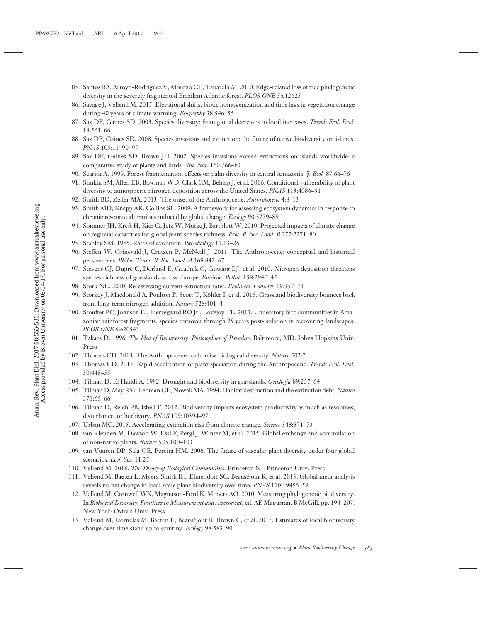- 85. Santos BA, Arroyo-Rodríguez V, Moreno CE, Tabarelli M. 2010. Edge-related loss of tree phylogenetic diversity in the severely fragmented Brazilian Atlantic forest. *PLOS ONE* 5:e12625
- 86. Savage J, Vellend M. 2015. Elevational shifts, biotic homogenization and time lags in vegetation change during 40 years of climate warming. *Ecography* 38:546–55
- 87. Sax DF, Gaines SD. 2003. Species diversity: from global decreases to local increases. *Trends Ecol. Evol.* 18:561–66
- 88. Sax DF, Gaines SD. 2008. Species invasions and extinction: the future of native biodiversity on islands. *PNAS* 105:11490–97
- 89. Sax DF, Gaines SD, Brown JH. 2002. Species invasions exceed extinctions on islands worldwide: a comparative study of plants and birds. *Am. Nat.* 160:766–83
- 90. Scariot A. 1999. Forest fragmentation effects on palm diversity in central Amazonia. *J. Ecol.* 87:66–76
- 91. Simkin SM, Allen EB, Bowman WD, Clark CM, Belnap J, et al. 2016. Conditional vulnerability of plant diversity to atmospheric nitrogen deposition across the United States. *PNAS* 113:4086–91
- 92. Smith BD, Zeder MA. 2013. The onset of the Anthropocene. *Anthropocene* 4:8–13
- 93. Smith MD, Knapp AK, Collins SL. 2009. A framework for assessing ecosystem dynamics in response to chronic resource alterations induced by global change. *Ecology* 90:3279–89
- 94. Sommer JH, Kreft H, Kier G, Jetz W, Mutke J, Barthlott W. 2010. Projected impacts of climate change on regional capacities for global plant species richness. *Proc. R. Soc. Lond. B* 277:2271–80
- 95. Stanley SM. 1985. Rates of evolution. *Paleobiology* 11:13–26
- 96. Steffen W, Grinevald J, Crutzen P, McNeill J. 2011. The Anthropocene: conceptual and historical perspectives. *Philos. Trans. R. Soc. Lond. A* 369:842–67
- 97. Stevens CJ, Dupre C, Dorland E, Gaudnik C, Gowing DJ, et al. 2010. Nitrogen deposition threatens ` species richness of grasslands across Europe. *Environ. Pollut.* 158:2940–45
- 98. Stork NE. 2010. Re-assessing current extinction rates. *Biodivers. Conserv.* 19:357–71
- 99. Storkey J, Macdonald A, Poulton P, Scott T, Köhler I, et al. 2015. Grassland biodiversity bounces back from long-term nitrogen addition. *Nature* 528:401–4
- 100. Stouffer PC, Johnson EI, Bierregaard RO Jr., Lovejoy TE. 2011. Understory bird communities in Amazonian rainforest fragments: species turnover through 25 years post-isolation in recovering landscapes. *PLOS ONE* 6:e20543
- 101. Takacs D. 1996. *The Idea of Biodiversity: Philosophies of Paradise*. Baltimore, MD: Johns Hopkins Univ. Press
- 102. Thomas CD. 2013. The Anthropocene could raise biological diversity. *Nature* 502:7
- 103. Thomas CD. 2015. Rapid acceleration of plant speciation during the Anthropocene. *Trends Ecol. Evol.* 30:448–55
- 104. Tilman D, El Haddi A. 1992. Drought and biodiversity in grasslands. *Oecologia* 89:257–64
- 105. Tilman D, May RM, Lehman CL, Nowak MA. 1994. Habitat destruction and the extinction debt. *Nature* 371:65–66
- 106. Tilman D, Reich PB, Isbell F. 2012. Biodiversity impacts ecosystem productivity as much as resources, disturbance, or herbivory. *PNAS* 109:10394–97
- 107. Urban MC. 2015. Accelerating extinction risk from climate change. *Science* 348:571–73
- 108. van Kleunen M, Dawson W, Essl F, Pergl J, Winter M, et al. 2015. Global exchange and accumulation of non-native plants. *Nature* 525:100–103
- 109. van Vuuren DP, Sala OE, Pereira HM. 2006. The future of vascular plant diversity under four global scenarios. *Ecol. Soc.* 11:25
- 110. Vellend M. 2016. *The Theory of Ecological Communities*. Princeton NJ: Princeton Univ. Press
- 111. Vellend M, Baeten L, Myers-Smith IH, Elmendorf SC, Beausejour R, et al. 2013. Global meta-analysis ´ reveals no net change in local-scale plant biodiversity over time. *PNAS* 110:19456–59
- 112. Vellend M, Cornwell WK, Magnuson-Ford K, Mooers AØ. 2010. Measuring phylogenetic biodiversity. In *Biological Diversity: Frontiers in Measurement and Assessment*, ed. AE Magurran, B McGill, pp. 194–207. New York: Oxford Univ. Press
- 113. Vellend M, Dornelas M, Baeten L, Beausejour R, Brown C, et al. 2017. Estimates of local biodiversity ´ change over time stand up to scrutiny. *Ecology* 98:583–90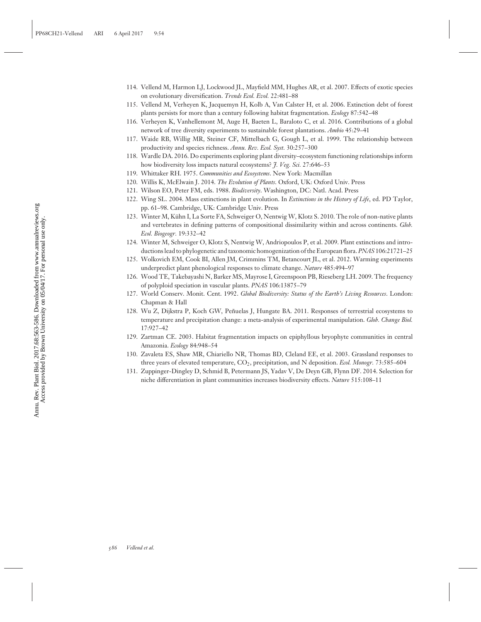- 114. Vellend M, Harmon LJ, Lockwood JL, Mayfield MM, Hughes AR, et al. 2007. Effects of exotic species on evolutionary diversification. *Trends Ecol. Evol.* 22:481–88
- 115. Vellend M, Verheyen K, Jacquemyn H, Kolb A, Van Calster H, et al. 2006. Extinction debt of forest plants persists for more than a century following habitat fragmentation. *Ecology* 87:542–48
- 116. Verheyen K, Vanhellemont M, Auge H, Baeten L, Baraloto C, et al. 2016. Contributions of a global network of tree diversity experiments to sustainable forest plantations. *Ambio* 45:29–41
- 117. Waide RB, Willig MR, Steiner CF, Mittelbach G, Gough L, et al. 1999. The relationship between productivity and species richness. *Annu. Rev. Ecol. Syst.* 30:257–300
- 118. Wardle DA. 2016. Do experiments exploring plant diversity–ecosystem functioning relationships inform how biodiversity loss impacts natural ecosystems? *J. Veg. Sci.* 27:646–53
- 119. Whittaker RH. 1975. *Communities and Ecosystems*. New York: Macmillan
- 120. Willis K, McElwain J. 2014. *The Evolution of Plants*. Oxford, UK: Oxford Univ. Press
- 121. Wilson EO, Peter FM, eds. 1988. *Biodiversity*. Washington, DC: Natl. Acad. Press
- 122. Wing SL. 2004. Mass extinctions in plant evolution. In *Extinctions in the History of Life*, ed. PD Taylor, pp. 61–98. Cambridge, UK: Cambridge Univ. Press
- 123. Winter M, Kuhn I, La Sorte FA, Schweiger O, Nentwig W, Klotz S. 2010. The role of non-native plants ¨ and vertebrates in defining patterns of compositional dissimilarity within and across continents. *Glob. Ecol. Biogeogr.* 19:332–42
- 124. Winter M, Schweiger O, Klotz S, Nentwig W, Andriopoulos P, et al. 2009. Plant extinctions and introductions lead to phylogenetic and taxonomic homogenization of the European flora. *PNAS* 106:21721–25
- 125. Wolkovich EM, Cook BI, Allen JM, Crimmins TM, Betancourt JL, et al. 2012. Warming experiments underpredict plant phenological responses to climate change. *Nature* 485:494–97
- 126. Wood TE, Takebayashi N, Barker MS, Mayrose I, Greenspoon PB, Rieseberg LH. 2009. The frequency of polyploid speciation in vascular plants. *PNAS* 106:13875–79
- 127. World Conserv. Monit. Cent. 1992. *Global Biodiversity: Status of the Earth's Living Resources*. London: Chapman & Hall
- 128. Wu Z, Dijkstra P, Koch GW, Penuelas J, Hungate BA. 2011. Responses of terrestrial ecosystems to ˜ temperature and precipitation change: a meta-analysis of experimental manipulation. *Glob. Change Biol.* 17:927–42
- 129. Zartman CE. 2003. Habitat fragmentation impacts on epiphyllous bryophyte communities in central Amazonia. *Ecology* 84:948–54
- 130. Zavaleta ES, Shaw MR, Chiariello NR, Thomas BD, Cleland EE, et al. 2003. Grassland responses to three years of elevated temperature, CO2, precipitation, and N deposition. *Ecol. Monogr.* 73:585–604
- 131. Zuppinger-Dingley D, Schmid B, Petermann JS, Yadav V, De Deyn GB, Flynn DF. 2014. Selection for niche differentiation in plant communities increases biodiversity effects. *Nature* 515:108–11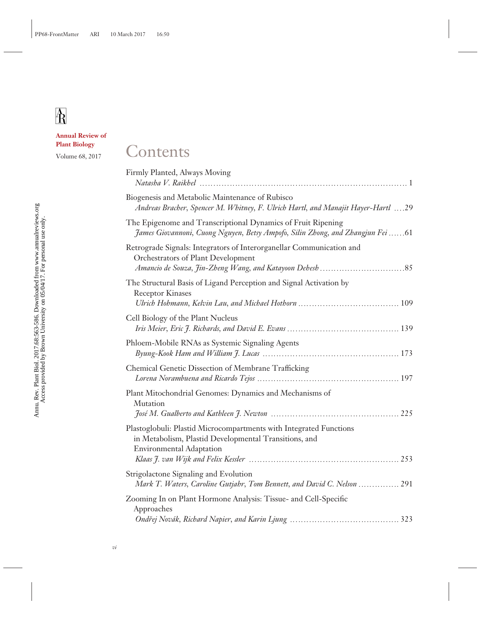

# **Annual Review of Plant Biology**

# Volume 68, 2017 Contents

| Firmly Planted, Always Moving                                                                                                                                  |
|----------------------------------------------------------------------------------------------------------------------------------------------------------------|
| Biogenesis and Metabolic Maintenance of Rubisco<br>Andreas Bracher, Spencer M. Whitney, F. Ulrich Hartl, and Manajit Hayer-Hartl 29                            |
| The Epigenome and Transcriptional Dynamics of Fruit Ripening<br>James Giovannoni, Cuong Nguyen, Betsy Ampofo, Silin Zhong, and Zhangjun Fei 61                 |
| Retrograde Signals: Integrators of Interorganellar Communication and<br>Orchestrators of Plant Development                                                     |
| The Structural Basis of Ligand Perception and Signal Activation by<br><b>Receptor Kinases</b>                                                                  |
| Cell Biology of the Plant Nucleus                                                                                                                              |
| Phloem-Mobile RNAs as Systemic Signaling Agents                                                                                                                |
| Chemical Genetic Dissection of Membrane Trafficking                                                                                                            |
| Plant Mitochondrial Genomes: Dynamics and Mechanisms of<br>Mutation                                                                                            |
| Plastoglobuli: Plastid Microcompartments with Integrated Functions<br>in Metabolism, Plastid Developmental Transitions, and<br><b>Environmental Adaptation</b> |
| Strigolactone Signaling and Evolution<br>Mark T. Waters, Caroline Gutjahr, Tom Bennett, and David C. Nelson  291                                               |
| Zooming In on Plant Hormone Analysis: Tissue- and Cell-Specific<br>Approaches                                                                                  |